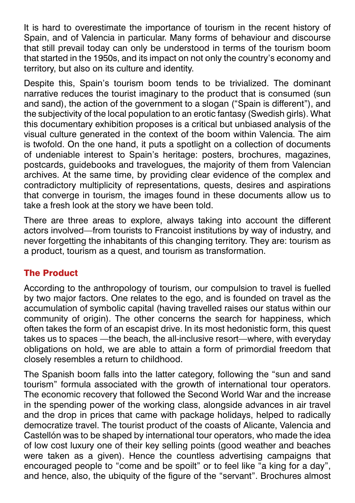It is hard to overestimate the importance of tourism in the recent history of Spain, and of Valencia in particular. Many forms of behaviour and discourse that still prevail today can only be understood in terms of the tourism boom that started in the 1950s, and its impact on not only the country's economy and territory, but also on its culture and identity.

Despite this, Spain's tourism boom tends to be trivialized. The dominant narrative reduces the tourist imaginary to the product that is consumed (sun and sand), the action of the government to a slogan ("Spain is different"), and the subjectivity of the local population to an erotic fantasy (Swedish girls). What this documentary exhibition proposes is a critical but unbiased analysis of the visual culture generated in the context of the boom within Valencia. The aim is twofold. On the one hand, it puts a spotlight on a collection of documents of undeniable interest to Spain's heritage: posters, brochures, magazines, postcards, guidebooks and travelogues, the majority of them from Valencian archives. At the same time, by providing clear evidence of the complex and contradictory multiplicity of representations, quests, desires and aspirations that converge in tourism, the images found in these documents allow us to take a fresh look at the story we have been told.

There are three areas to explore, always taking into account the different actors involved—from tourists to Francoist institutions by way of industry, and never forgetting the inhabitants of this changing territory. They are: tourism as a product, tourism as a quest, and tourism as transformation.

## The Product

According to the anthropology of tourism, our compulsion to travel is fuelled by two major factors. One relates to the ego, and is founded on travel as the accumulation of symbolic capital (having travelled raises our status within our community of origin). The other concerns the search for happiness, which often takes the form of an escapist drive. In its most hedonistic form, this quest takes us to spaces —the beach, the all-inclusive resort—where, with everyday obligations on hold, we are able to attain a form of primordial freedom that closely resembles a return to childhood.

The Spanish boom falls into the latter category, following the "sun and sand tourism" formula associated with the growth of international tour operators. The economic recovery that followed the Second World War and the increase in the spending power of the working class, alongside advances in air travel and the drop in prices that came with package holidays, helped to radically democratize travel. The tourist product of the coasts of Alicante, Valencia and Castellón was to be shaped by international tour operators, who made the idea of low cost luxury one of their key selling points (good weather and beaches were taken as a given). Hence the countless advertising campaigns that encouraged people to "come and be spoilt" or to feel like "a king for a day", and hence, also, the ubiquity of the figure of the "servant". Brochures almost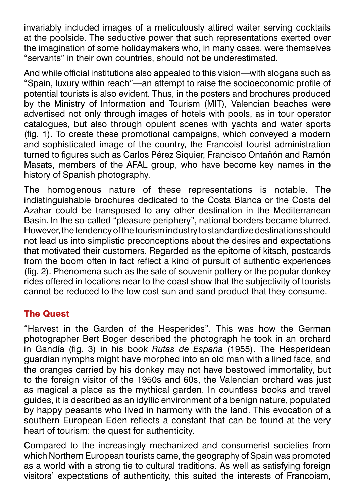invariably included images of a meticulously attired waiter serving cocktails at the poolside. The seductive power that such representations exerted over the imagination of some holidaymakers who, in many cases, were themselves "servants" in their own countries, should not be underestimated.

And while official institutions also appealed to this vision—with slogans such as "Spain, luxury within reach"—an attempt to raise the socioeconomic profile of potential tourists is also evident. Thus, in the posters and brochures produced by the Ministry of Information and Tourism (MIT), Valencian beaches were advertised not only through images of hotels with pools, as in tour operator catalogues, but also through opulent scenes with yachts and water sports (fig. 1). To create these promotional campaigns, which conveyed a modern and sophisticated image of the country, the Francoist tourist administration turned to figures such as Carlos Pérez Siquier, Francisco Ontañón and Ramón Masats, members of the AFAL group, who have become key names in the history of Spanish photography.

The homogenous nature of these representations is notable. The indistinguishable brochures dedicated to the Costa Blanca or the Costa del Azahar could be transposed to any other destination in the Mediterranean Basin. In the so-called "pleasure periphery", national borders became blurred. However, the tendency of the tourism industry to standardize destinations should not lead us into simplistic preconceptions about the desires and expectations that motivated their customers. Regarded as the epitome of kitsch, postcards from the boom often in fact reflect a kind of pursuit of authentic experiences (fig. 2). Phenomena such as the sale of souvenir pottery or the popular donkey rides offered in locations near to the coast show that the subjectivity of tourists cannot be reduced to the low cost sun and sand product that they consume.

## The Quest

"Harvest in the Garden of the Hesperides". This was how the German photographer Bert Boger described the photograph he took in an orchard in Gandía (fig. 3) in his book *Rutas de España* (1955). The Hesperidean guardian nymphs might have morphed into an old man with a lined face, and the oranges carried by his donkey may not have bestowed immortality, but to the foreign visitor of the 1950s and 60s, the Valencian orchard was just as magical a place as the mythical garden. In countless books and travel guides, it is described as an idyllic environment of a benign nature, populated by happy peasants who lived in harmony with the land. This evocation of a southern European Eden reflects a constant that can be found at the very heart of tourism: the quest for authenticity.

Compared to the increasingly mechanized and consumerist societies from which Northern European tourists came, the geography of Spain was promoted as a world with a strong tie to cultural traditions. As well as satisfying foreign visitors' expectations of authenticity, this suited the interests of Francoism,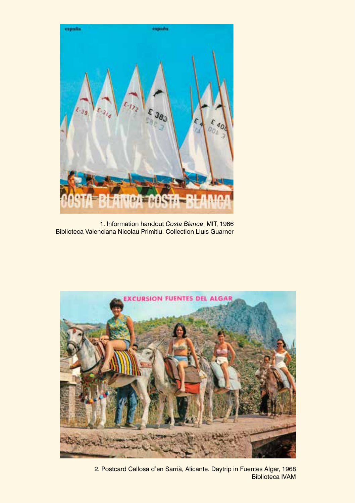

1. Information handout *Costa Blanca*. MIT, 1966 Biblioteca Valenciana Nicolau Primitiu. Collection Lluís Guarner



2. Postcard Callosa d'en Sarrià, Alicante. Daytrip in Fuentes Algar, 1968 Biblioteca IVAM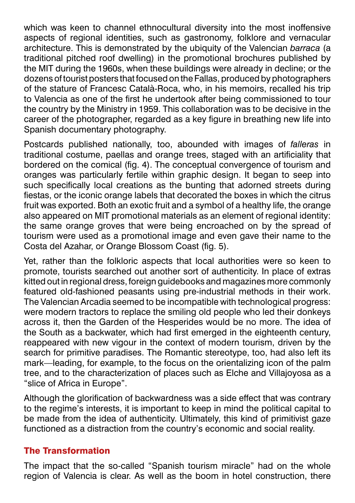which was keen to channel ethnocultural diversity into the most inoffensive aspects of regional identities, such as gastronomy, folklore and vernacular architecture. This is demonstrated by the ubiquity of the Valencian *barraca* (a traditional pitched roof dwelling) in the promotional brochures published by the MIT during the 1960s, when these buildings were already in decline; or the dozens of tourist posters that focused on the Fallas, produced by photographers of the stature of Francesc Català-Roca, who, in his memoirs, recalled his trip to Valencia as one of the first he undertook after being commissioned to tour the country by the Ministry in 1959. This collaboration was to be decisive in the career of the photographer, regarded as a key figure in breathing new life into Spanish documentary photography.

Postcards published nationally, too, abounded with images of *falleras* in traditional costume, paellas and orange trees, staged with an artificiality that bordered on the comical (fig. 4). The conceptual convergence of tourism and oranges was particularly fertile within graphic design. It began to seep into such specifically local creations as the bunting that adorned streets during fiestas, or the iconic orange labels that decorated the boxes in which the citrus fruit was exported. Both an exotic fruit and a symbol of a healthy life, the orange also appeared on MIT promotional materials as an element of regional identity: the same orange groves that were being encroached on by the spread of tourism were used as a promotional image and even gave their name to the Costa del Azahar, or Orange Blossom Coast (fig. 5).

Yet, rather than the folkloric aspects that local authorities were so keen to promote, tourists searched out another sort of authenticity. In place of extras kitted out in regional dress, foreign guidebooks and magazines more commonly featured old-fashioned peasants using pre-industrial methods in their work. The Valencian Arcadia seemed to be incompatible with technological progress: were modern tractors to replace the smiling old people who led their donkeys across it, then the Garden of the Hesperides would be no more. The idea of the South as a backwater, which had first emerged in the eighteenth century, reappeared with new vigour in the context of modern tourism, driven by the search for primitive paradises. The Romantic stereotype, too, had also left its mark—leading, for example, to the focus on the orientalizing icon of the palm tree, and to the characterization of places such as Elche and Villajoyosa as a "slice of Africa in Europe".

Although the glorification of backwardness was a side effect that was contrary to the regime's interests, it is important to keep in mind the political capital to be made from the idea of authenticity. Ultimately, this kind of primitivist gaze functioned as a distraction from the country's economic and social reality.

## The Transformation

The impact that the so-called "Spanish tourism miracle" had on the whole region of Valencia is clear. As well as the boom in hotel construction, there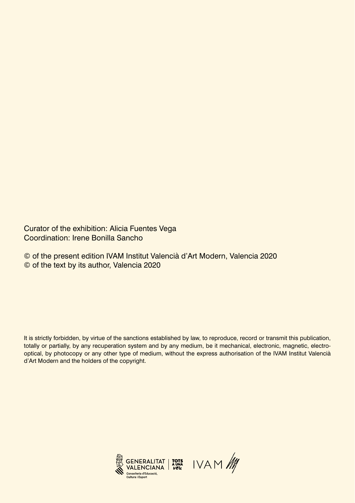Curator of the exhibition: Alicia Fuentes Vega Coordination: Irene Bonilla Sancho

© of the present edition IVAM Institut Valencià d'Art Modern, Valencia 2020 © of the text by its author, Valencia 2020

It is strictly forbidden, by virtue of the sanctions established by law, to reproduce, record or transmit this publication, totally or partially, by any recuperation system and by any medium, be it mechanical, electronic, magnetic, electrooptical, by photocopy or any other type of medium, without the express authorisation of the IVAM Institut Valencià d'Art Modern and the holders of the copyright.

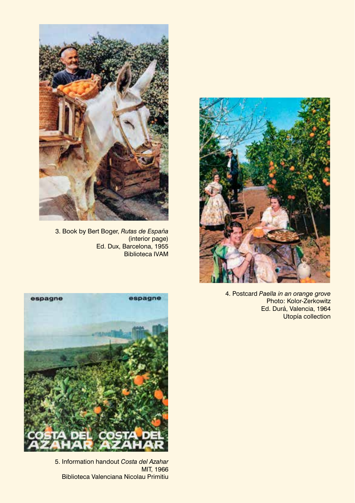

3. Book by Bert Boger, *Rutas de España* (interior page) Ed. Dux, Barcelona, 1955 Biblioteca IVAM



4. Postcard *Paella in an orange grove* Photo: Kolor-Zerkowitz Ed. Durá, Valencia, 1964 Utopía collection



5. Information handout *Costa del Azahar* MIT, 1966 Biblioteca Valenciana Nicolau Primitiu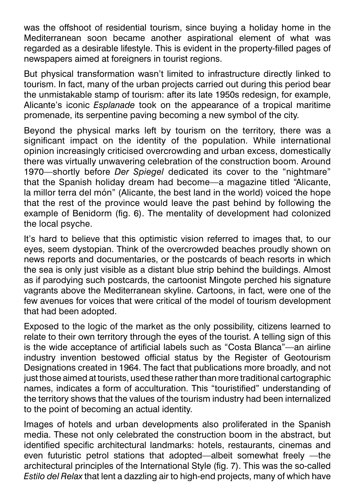was the offshoot of residential tourism, since buying a holiday home in the Mediterranean soon became another aspirational element of what was regarded as a desirable lifestyle. This is evident in the property-filled pages of newspapers aimed at foreigners in tourist regions.

But physical transformation wasn't limited to infrastructure directly linked to tourism. In fact, many of the urban projects carried out during this period bear the unmistakable stamp of tourism: after its late 1950s redesign, for example, Alicante's iconic *Esplanade* took on the appearance of a tropical maritime promenade, its serpentine paving becoming a new symbol of the city.

Beyond the physical marks left by tourism on the territory, there was a significant impact on the identity of the population. While international opinion increasingly criticised overcrowding and urban excess, domestically there was virtually unwavering celebration of the construction boom. Around 1970—shortly before *Der Spiegel* dedicated its cover to the "nightmare" that the Spanish holiday dream had become—a magazine titled "Alicante, la millor terra del món" (Alicante, the best land in the world) voiced the hope that the rest of the province would leave the past behind by following the example of Benidorm (fig. 6). The mentality of development had colonized the local psyche.

It's hard to believe that this optimistic vision referred to images that, to our eyes, seem dystopian. Think of the overcrowded beaches proudly shown on news reports and documentaries, or the postcards of beach resorts in which the sea is only just visible as a distant blue strip behind the buildings. Almost as if parodying such postcards, the cartoonist Mingote perched his signature vagrants above the Mediterranean skyline. Cartoons, in fact, were one of the few avenues for voices that were critical of the model of tourism development that had been adopted.

Exposed to the logic of the market as the only possibility, citizens learned to relate to their own territory through the eyes of the tourist. A telling sign of this is the wide acceptance of artificial labels such as "Costa Blanca"—an airline industry invention bestowed official status by the Register of Geotourism Designations created in 1964. The fact that publications more broadly, and not just those aimed at tourists, used these rather than more traditional cartographic names, indicates a form of acculturation. This "touristified" understanding of the territory shows that the values of the tourism industry had been internalized to the point of becoming an actual identity.

Images of hotels and urban developments also proliferated in the Spanish media. These not only celebrated the construction boom in the abstract, but identified specific architectural landmarks: hotels, restaurants, cinemas and even futuristic petrol stations that adopted—albeit somewhat freely —the architectural principles of the International Style (fig. 7). This was the so-called *Estilo del Relax* that lent a dazzling air to high-end projects, many of which have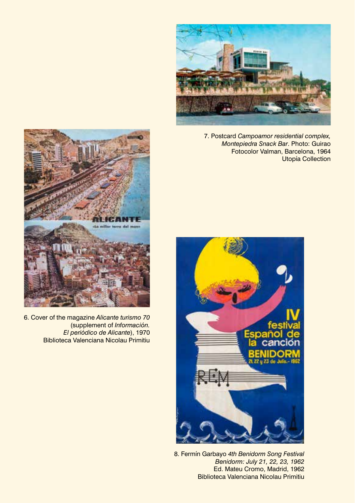

7. Postcard *Campoamor residential complex, Montepiedra Snack Bar*. Photo: Guirao Fotocolor Valman, Barcelona, 1964 Utopía Collection



6. Cover of the magazine *Alicante turismo 70* (supplement of *Información. El periódico de Alicante*), 1970 Biblioteca Valenciana Nicolau Primitiu



8. Fermín Garbayo *4th Benidorm Song Festival Benidorm: July 21, 22, 23, 1962* Ed. Mateu Cromo, Madrid, 1962 Biblioteca Valenciana Nicolau Primitiu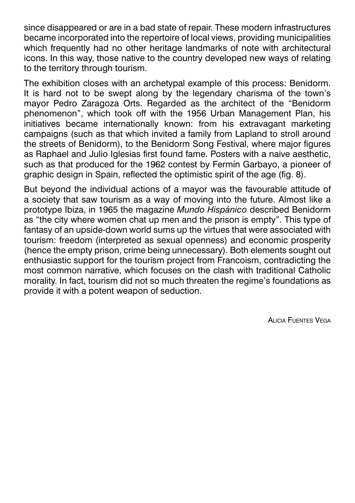since disappeared or are in a bad state of repair. These modern infrastructures became incorporated into the repertoire of local views, providing municipalities which frequently had no other heritage landmarks of note with architectural icons. In this way, those native to the country developed new ways of relating to the territory through tourism.

The exhibition closes with an archetypal example of this process: Benidorm. It is hard not to be swept along by the legendary charisma of the town's mayor Pedro Zaragoza Orts. Regarded as the architect of the "Benidorm phenomenon", which took off with the 1956 Urban Management Plan, his initiatives became internationally known: from his extravagant marketing campaigns (such as that which invited a family from Lapland to stroll around the streets of Benidorm), to the Benidorm Song Festival, where major figures as Raphael and Julio Iglesias first found fame. Posters with a naive aesthetic, such as that produced for the 1962 contest by Fermín Garbayo, a pioneer of graphic design in Spain, reflected the optimistic spirit of the age (fig. 8).

But beyond the individual actions of a mayor was the favourable attitude of a society that saw tourism as a way of moving into the future. Almost like a prototype Ibiza, in 1965 the magazine *Mundo Hispánico* described Benidorm as "the city where women chat up men and the prison is empty". This type of fantasy of an upside-down world sums up the virtues that were associated with tourism: freedom (interpreted as sexual openness) and economic prosperity (hence the empty prison, crime being unnecessary). Both elements sought out enthusiastic support for the tourism project from Francoism, contradicting the most common narrative, which focuses on the clash with traditional Catholic morality. In fact, tourism did not so much threaten the regime's foundations as provide it with a potent weapon of seduction.

Alicia Fuentes Vega